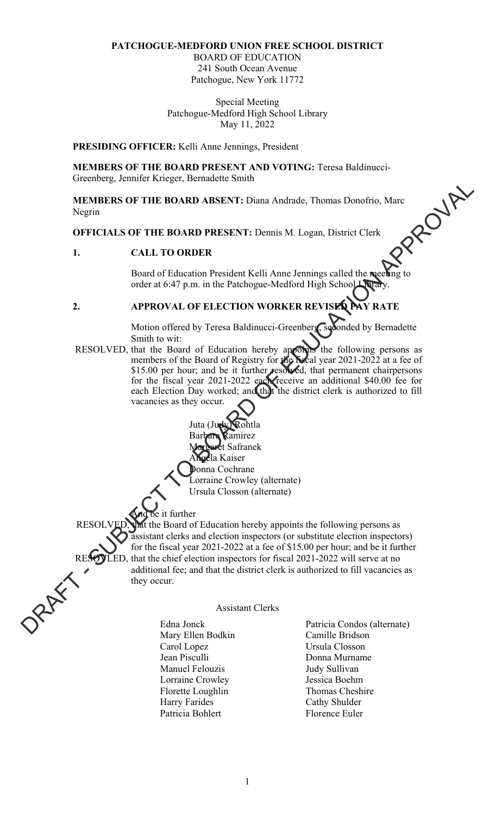### **PATCHOGUE-MEDFORD UNION FREE SCHOOL DISTRICT**

BOARD OF EDUCATION 241 South Ocean Avenue Patchogue, New York 11772

Special Meeting Patchogue-Medford High School Library May 11, 2022

**PRESIDING OFFICER:** Kelli Anne Jennings, President

Greenberg, Jennifer Krieger, Bernadette Smith

**MEMBERS OF THE BOARD PRESENT AND VOTING:** Teresa Baldinucci-<br>Greenberg, Jennifer Krieger, Bernadette Smith<br>**MEMBERS OF THE BOARD ABSENT:** Diana Andrade, Thomas Donofrio, Marc<br>Negrin<br>**OFFICIALS OF THE BOARD PRESENT:** Denni **MEMBERS OF THE BOARD ABSENT:** Diana Andrade, Thomas Donofrio, Marc Negrin

**OFFICIALS OF THE BOARD PRESENT:** Dennis M. Logan, District Clerk

## **1. CALL TO ORDER**

Board of Education President Kelli Anne Jennings called the meeting to order at 6:47 p.m. in the Patchogue-Medford High School Library.

# **2. APPROVAL OF ELECTION WORKER REVISED PAY RATE**

Motion offered by Teresa Baldinucci-Greenberg, seconded by Bernadette Smith to wit:

RESOLVED, that the Board of Education hereby appoints the following persons as members of the Board of Registry for the Note of year 2021-2022 at a fee of \$15.00 per hour; and be it further resolved, that permanent chairpersons for the fiscal year 2021-2022 each receive an additional \$40.00 fee for each Election Day worked; and that the district clerk is authorized to fill vacancies as they occur.

> Juta (Juo amirez <sup>g</sup>t Safranek la Kaiser! Donna Cochrane Lorraine Crowley (alternate) Ursula Closson (alternate)

# t further

the Board of Education hereby appoints the following persons as assistant clerks and election inspectors (or substitute election inspectors) for the fiscal year 2021-2022 at a fee of \$15.00 per hour; and be it further LED, that the chief election inspectors for fiscal  $2021-2022$  will serve at no additional fee; and that the district clerk is authorized to fill vacancies as they occur. **EXCREME TO THE ROARD ARSENT:** Diana Andrade, Thomas Donorio, Mac<br>
Negrin<br>
OFFICIALS OF THE BOARD ARSENT: Demis M. Logan. District Clerk<br>
1. CALL: TO ORDER REASS TO THE SUBJECT DESCRIPTION WORKER REVISED that<br>  $\frac{1}{2}$  a

#### Assistant Clerks

 Mary Ellen Bodkin Camille Bridson Carol Lopez Ursula Closson Jean Pisculli Donna Murname Manuel Felouzis **International Sullivan**  Lorraine Crowley Jessica Boehm Florette Loughlin Thomas Cheshire Harry Farides Cathy Shulder Patricia Bohlert Florence Euler

Edna Jonck Patricia Condos (alternate)